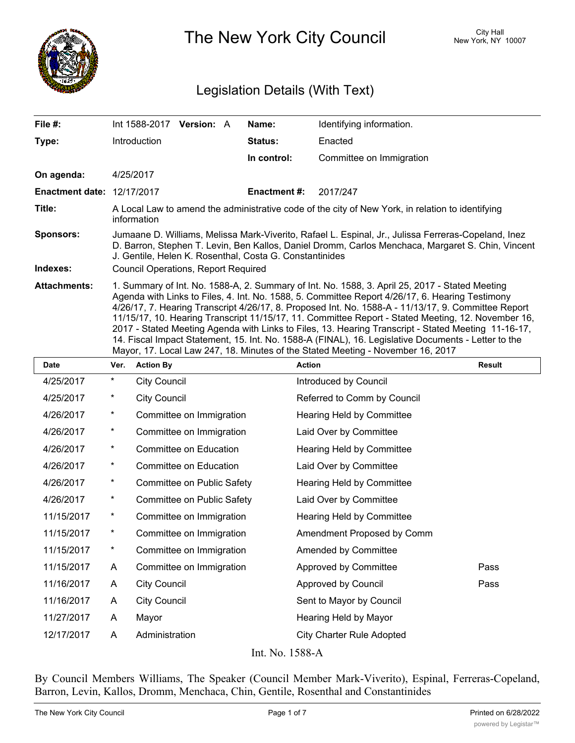

The New York City Council New York, NY 10007

# Legislation Details (With Text)

| File #:                           | Int 1588-2017                                                                                                                                                                                                                                                                                                                                                                                                                                                                                                                                                                                                                                                                                                   | <b>Version: A</b> |  | Name:               | Identifying information. |  |  |
|-----------------------------------|-----------------------------------------------------------------------------------------------------------------------------------------------------------------------------------------------------------------------------------------------------------------------------------------------------------------------------------------------------------------------------------------------------------------------------------------------------------------------------------------------------------------------------------------------------------------------------------------------------------------------------------------------------------------------------------------------------------------|-------------------|--|---------------------|--------------------------|--|--|
| Type:                             | <b>Introduction</b>                                                                                                                                                                                                                                                                                                                                                                                                                                                                                                                                                                                                                                                                                             |                   |  | <b>Status:</b>      | Enacted                  |  |  |
|                                   |                                                                                                                                                                                                                                                                                                                                                                                                                                                                                                                                                                                                                                                                                                                 |                   |  | In control:         | Committee on Immigration |  |  |
| On agenda:                        | 4/25/2017                                                                                                                                                                                                                                                                                                                                                                                                                                                                                                                                                                                                                                                                                                       |                   |  |                     |                          |  |  |
| <b>Enactment date: 12/17/2017</b> |                                                                                                                                                                                                                                                                                                                                                                                                                                                                                                                                                                                                                                                                                                                 |                   |  | <b>Enactment #:</b> | 2017/247                 |  |  |
| Title:                            | A Local Law to amend the administrative code of the city of New York, in relation to identifying<br>information                                                                                                                                                                                                                                                                                                                                                                                                                                                                                                                                                                                                 |                   |  |                     |                          |  |  |
| <b>Sponsors:</b>                  | Jumaane D. Williams, Melissa Mark-Viverito, Rafael L. Espinal, Jr., Julissa Ferreras-Copeland, Inez<br>D. Barron, Stephen T. Levin, Ben Kallos, Daniel Dromm, Carlos Menchaca, Margaret S. Chin, Vincent<br>J. Gentile, Helen K. Rosenthal, Costa G. Constantinides                                                                                                                                                                                                                                                                                                                                                                                                                                             |                   |  |                     |                          |  |  |
| Indexes:                          | <b>Council Operations, Report Required</b>                                                                                                                                                                                                                                                                                                                                                                                                                                                                                                                                                                                                                                                                      |                   |  |                     |                          |  |  |
| <b>Attachments:</b>               | 1. Summary of Int. No. 1588-A, 2. Summary of Int. No. 1588, 3. April 25, 2017 - Stated Meeting<br>Agenda with Links to Files, 4. Int. No. 1588, 5. Committee Report 4/26/17, 6. Hearing Testimony<br>4/26/17, 7. Hearing Transcript 4/26/17, 8. Proposed Int. No. 1588-A - 11/13/17, 9. Committee Report<br>11/15/17, 10. Hearing Transcript 11/15/17, 11. Committee Report - Stated Meeting, 12. November 16,<br>2017 - Stated Meeting Agenda with Links to Files, 13. Hearing Transcript - Stated Meeting 11-16-17,<br>14. Fiscal Impact Statement, 15. Int. No. 1588-A (FINAL), 16. Legislative Documents - Letter to the<br>Mayor, 17. Local Law 247, 18. Minutes of the Stated Meeting - November 16, 2017 |                   |  |                     |                          |  |  |

| <b>Date</b> | Ver.     | <b>Action By</b>           | <b>Action</b>                    | <b>Result</b> |
|-------------|----------|----------------------------|----------------------------------|---------------|
| 4/25/2017   | $^\star$ | <b>City Council</b>        | Introduced by Council            |               |
| 4/25/2017   | $^\star$ | <b>City Council</b>        | Referred to Comm by Council      |               |
| 4/26/2017   | $^\star$ | Committee on Immigration   | Hearing Held by Committee        |               |
| 4/26/2017   | $^\star$ | Committee on Immigration   | Laid Over by Committee           |               |
| 4/26/2017   | $^\star$ | Committee on Education     | Hearing Held by Committee        |               |
| 4/26/2017   | $^\star$ | Committee on Education     | Laid Over by Committee           |               |
| 4/26/2017   | $^\star$ | Committee on Public Safety | Hearing Held by Committee        |               |
| 4/26/2017   | $^\star$ | Committee on Public Safety | Laid Over by Committee           |               |
| 11/15/2017  | $^\star$ | Committee on Immigration   | Hearing Held by Committee        |               |
| 11/15/2017  | $^\star$ | Committee on Immigration   | Amendment Proposed by Comm       |               |
| 11/15/2017  | $^\star$ | Committee on Immigration   | Amended by Committee             |               |
| 11/15/2017  | A        | Committee on Immigration   | Approved by Committee            | Pass          |
| 11/16/2017  | A        | <b>City Council</b>        | Approved by Council              | Pass          |
| 11/16/2017  | A        | <b>City Council</b>        | Sent to Mayor by Council         |               |
| 11/27/2017  | A        | Mayor                      | Hearing Held by Mayor            |               |
| 12/17/2017  | A        | Administration             | <b>City Charter Rule Adopted</b> |               |
|             |          |                            |                                  |               |

Int. No. 1588-A

By Council Members Williams, The Speaker (Council Member Mark-Viverito), Espinal, Ferreras-Copeland, Barron, Levin, Kallos, Dromm, Menchaca, Chin, Gentile, Rosenthal and Constantinides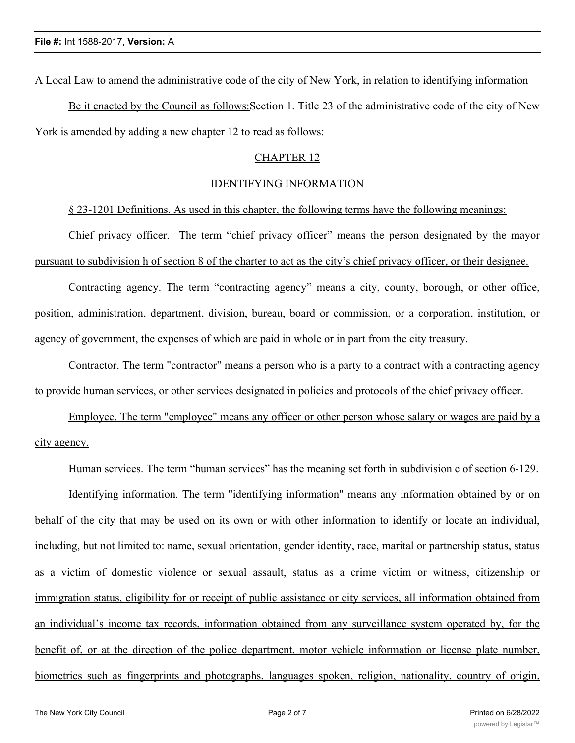A Local Law to amend the administrative code of the city of New York, in relation to identifying information

Be it enacted by the Council as follows:Section 1. Title 23 of the administrative code of the city of New York is amended by adding a new chapter 12 to read as follows:

## CHAPTER 12

### IDENTIFYING INFORMATION

§ 23-1201 Definitions. As used in this chapter, the following terms have the following meanings:

Chief privacy officer. The term "chief privacy officer" means the person designated by the mayor pursuant to subdivision h of section 8 of the charter to act as the city's chief privacy officer, or their designee.

Contracting agency. The term "contracting agency" means a city, county, borough, or other office, position, administration, department, division, bureau, board or commission, or a corporation, institution, or agency of government, the expenses of which are paid in whole or in part from the city treasury.

Contractor. The term "contractor" means a person who is a party to a contract with a contracting agency to provide human services, or other services designated in policies and protocols of the chief privacy officer.

Employee. The term "employee" means any officer or other person whose salary or wages are paid by a city agency.

Human services. The term "human services" has the meaning set forth in subdivision c of section 6-129.

Identifying information. The term "identifying information" means any information obtained by or on behalf of the city that may be used on its own or with other information to identify or locate an individual, including, but not limited to: name, sexual orientation, gender identity, race, marital or partnership status, status as a victim of domestic violence or sexual assault, status as a crime victim or witness, citizenship or immigration status, eligibility for or receipt of public assistance or city services, all information obtained from an individual's income tax records, information obtained from any surveillance system operated by, for the benefit of, or at the direction of the police department, motor vehicle information or license plate number, biometrics such as fingerprints and photographs, languages spoken, religion, nationality, country of origin,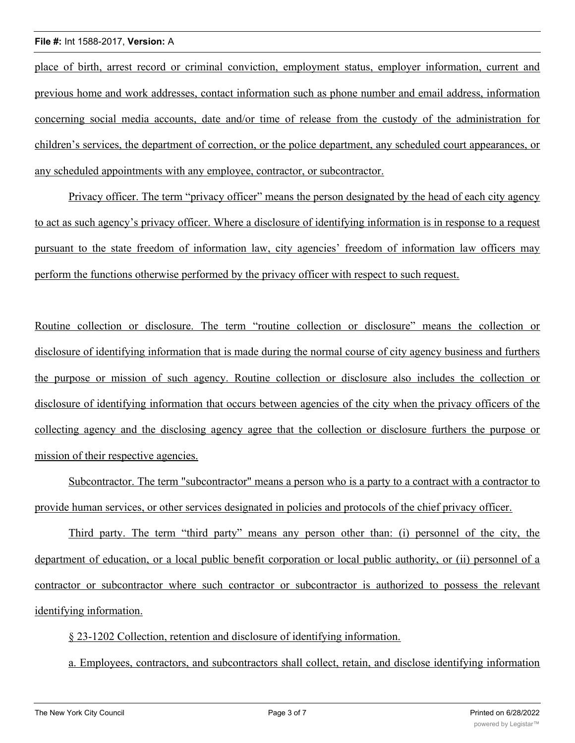place of birth, arrest record or criminal conviction, employment status, employer information, current and previous home and work addresses, contact information such as phone number and email address, information concerning social media accounts, date and/or time of release from the custody of the administration for children's services, the department of correction, or the police department, any scheduled court appearances, or any scheduled appointments with any employee, contractor, or subcontractor.

Privacy officer. The term "privacy officer" means the person designated by the head of each city agency to act as such agency's privacy officer. Where a disclosure of identifying information is in response to a request pursuant to the state freedom of information law, city agencies' freedom of information law officers may perform the functions otherwise performed by the privacy officer with respect to such request.

Routine collection or disclosure. The term "routine collection or disclosure" means the collection or disclosure of identifying information that is made during the normal course of city agency business and furthers the purpose or mission of such agency. Routine collection or disclosure also includes the collection or disclosure of identifying information that occurs between agencies of the city when the privacy officers of the collecting agency and the disclosing agency agree that the collection or disclosure furthers the purpose or mission of their respective agencies.

Subcontractor. The term "subcontractor" means a person who is a party to a contract with a contractor to provide human services, or other services designated in policies and protocols of the chief privacy officer.

Third party. The term "third party" means any person other than: (i) personnel of the city, the department of education, or a local public benefit corporation or local public authority, or (ii) personnel of a contractor or subcontractor where such contractor or subcontractor is authorized to possess the relevant identifying information.

§ 23-1202 Collection, retention and disclosure of identifying information.

a. Employees, contractors, and subcontractors shall collect, retain, and disclose identifying information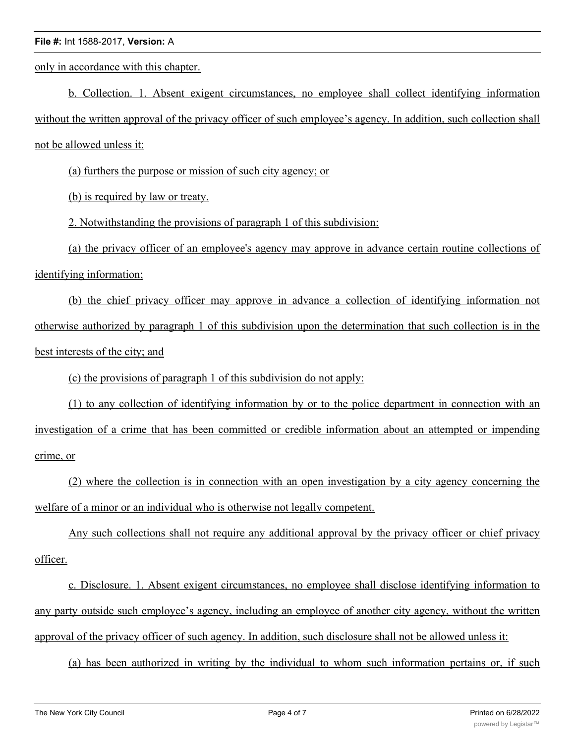only in accordance with this chapter.

b. Collection. 1. Absent exigent circumstances, no employee shall collect identifying information without the written approval of the privacy officer of such employee's agency. In addition, such collection shall not be allowed unless it:

(a) furthers the purpose or mission of such city agency; or

(b) is required by law or treaty.

2. Notwithstanding the provisions of paragraph 1 of this subdivision:

(a) the privacy officer of an employee's agency may approve in advance certain routine collections of identifying information;

(b) the chief privacy officer may approve in advance a collection of identifying information not otherwise authorized by paragraph 1 of this subdivision upon the determination that such collection is in the best interests of the city; and

(c) the provisions of paragraph 1 of this subdivision do not apply:

(1) to any collection of identifying information by or to the police department in connection with an investigation of a crime that has been committed or credible information about an attempted or impending crime, or

(2) where the collection is in connection with an open investigation by a city agency concerning the welfare of a minor or an individual who is otherwise not legally competent.

Any such collections shall not require any additional approval by the privacy officer or chief privacy officer.

c. Disclosure. 1. Absent exigent circumstances, no employee shall disclose identifying information to any party outside such employee's agency, including an employee of another city agency, without the written approval of the privacy officer of such agency. In addition, such disclosure shall not be allowed unless it:

(a) has been authorized in writing by the individual to whom such information pertains or, if such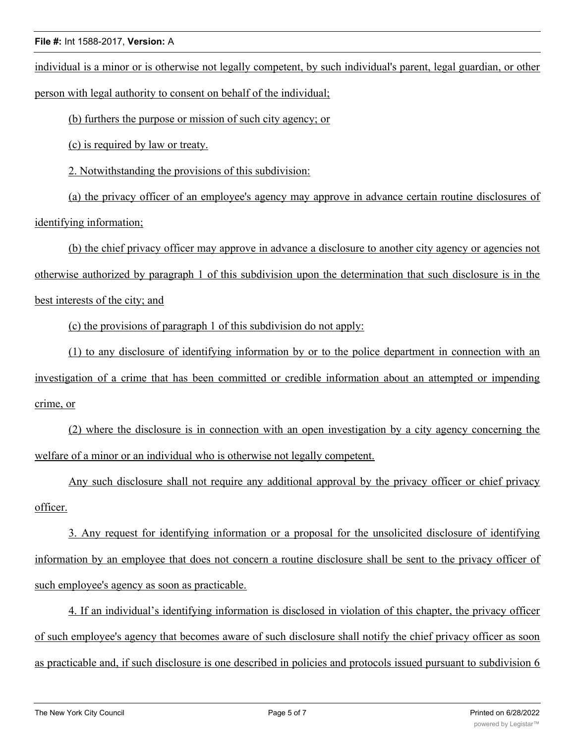individual is a minor or is otherwise not legally competent, by such individual's parent, legal guardian, or other person with legal authority to consent on behalf of the individual;

(b) furthers the purpose or mission of such city agency; or

(c) is required by law or treaty.

2. Notwithstanding the provisions of this subdivision:

(a) the privacy officer of an employee's agency may approve in advance certain routine disclosures of identifying information;

(b) the chief privacy officer may approve in advance a disclosure to another city agency or agencies not otherwise authorized by paragraph 1 of this subdivision upon the determination that such disclosure is in the best interests of the city; and

(c) the provisions of paragraph 1 of this subdivision do not apply:

(1) to any disclosure of identifying information by or to the police department in connection with an investigation of a crime that has been committed or credible information about an attempted or impending crime, or

(2) where the disclosure is in connection with an open investigation by a city agency concerning the welfare of a minor or an individual who is otherwise not legally competent.

Any such disclosure shall not require any additional approval by the privacy officer or chief privacy officer.

3. Any request for identifying information or a proposal for the unsolicited disclosure of identifying information by an employee that does not concern a routine disclosure shall be sent to the privacy officer of such employee's agency as soon as practicable.

4. If an individual's identifying information is disclosed in violation of this chapter, the privacy officer of such employee's agency that becomes aware of such disclosure shall notify the chief privacy officer as soon as practicable and, if such disclosure is one described in policies and protocols issued pursuant to subdivision 6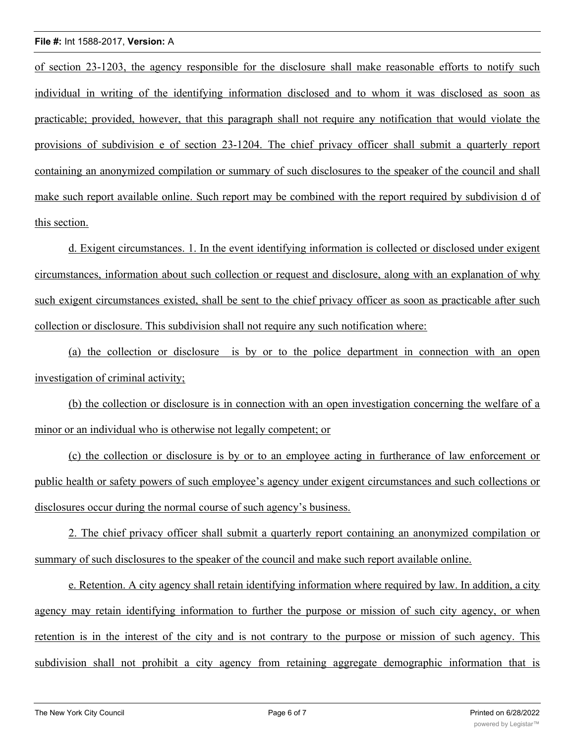of section 23-1203, the agency responsible for the disclosure shall make reasonable efforts to notify such individual in writing of the identifying information disclosed and to whom it was disclosed as soon as practicable; provided, however, that this paragraph shall not require any notification that would violate the provisions of subdivision e of section 23-1204. The chief privacy officer shall submit a quarterly report containing an anonymized compilation or summary of such disclosures to the speaker of the council and shall make such report available online. Such report may be combined with the report required by subdivision d of this section.

d. Exigent circumstances. 1. In the event identifying information is collected or disclosed under exigent circumstances, information about such collection or request and disclosure, along with an explanation of why such exigent circumstances existed, shall be sent to the chief privacy officer as soon as practicable after such collection or disclosure. This subdivision shall not require any such notification where:

(a) the collection or disclosure is by or to the police department in connection with an open investigation of criminal activity;

(b) the collection or disclosure is in connection with an open investigation concerning the welfare of a minor or an individual who is otherwise not legally competent; or

(c) the collection or disclosure is by or to an employee acting in furtherance of law enforcement or public health or safety powers of such employee's agency under exigent circumstances and such collections or disclosures occur during the normal course of such agency's business.

2. The chief privacy officer shall submit a quarterly report containing an anonymized compilation or summary of such disclosures to the speaker of the council and make such report available online.

e. Retention. A city agency shall retain identifying information where required by law. In addition, a city agency may retain identifying information to further the purpose or mission of such city agency, or when retention is in the interest of the city and is not contrary to the purpose or mission of such agency. This subdivision shall not prohibit a city agency from retaining aggregate demographic information that is